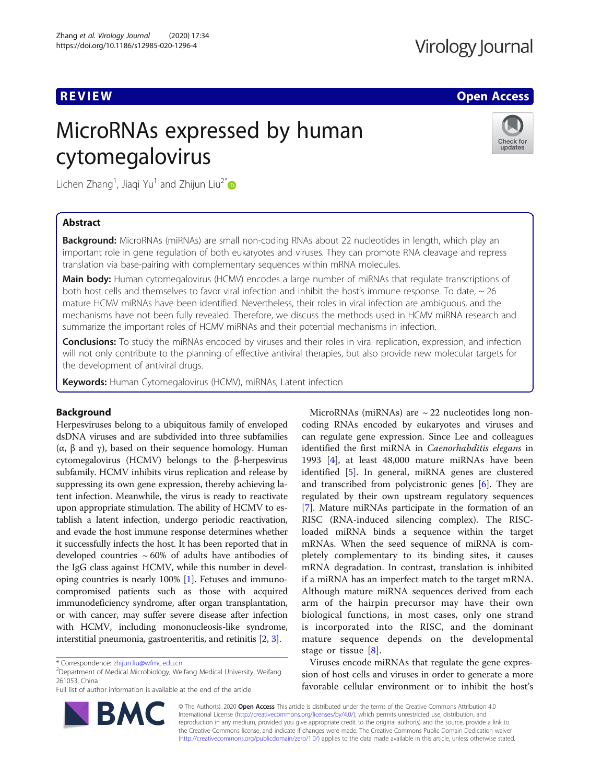# Virology Journal

# **REVIEW ACCESS AND LOCAL CONTRACT CONTRACT OF ACCESS**

# MicroRNAs expressed by human cytomegalovirus



Lichen Zhang<sup>1</sup>, Jiaqi Yu<sup>1</sup> and Zhijun Liu<sup>2\*</sup>

# Abstract

**Background:** MicroRNAs (miRNAs) are small non-coding RNAs about 22 nucleotides in length, which play an important role in gene regulation of both eukaryotes and viruses. They can promote RNA cleavage and repress translation via base-pairing with complementary sequences within mRNA molecules.

**Main body:** Human cytomegalovirus (HCMV) encodes a large number of miRNAs that regulate transcriptions of both host cells and themselves to favor viral infection and inhibit the host's immune response. To date, ~ 26 mature HCMV miRNAs have been identified. Nevertheless, their roles in viral infection are ambiguous, and the mechanisms have not been fully revealed. Therefore, we discuss the methods used in HCMV miRNA research and summarize the important roles of HCMV miRNAs and their potential mechanisms in infection.

**Conclusions:** To study the miRNAs encoded by viruses and their roles in viral replication, expression, and infection will not only contribute to the planning of effective antiviral therapies, but also provide new molecular targets for the development of antiviral drugs.

Keywords: Human Cytomegalovirus (HCMV), miRNAs, Latent infection

# Background

Herpesviruses belong to a ubiquitous family of enveloped dsDNA viruses and are subdivided into three subfamilies (α, β and γ), based on their sequence homology. Human cytomegalovirus (HCMV) belongs to the β-herpesvirus subfamily. HCMV inhibits virus replication and release by suppressing its own gene expression, thereby achieving latent infection. Meanwhile, the virus is ready to reactivate upon appropriate stimulation. The ability of HCMV to establish a latent infection, undergo periodic reactivation, and evade the host immune response determines whether it successfully infects the host. It has been reported that in developed countries  $\sim 60\%$  of adults have antibodies of the IgG class against HCMV, while this number in developing countries is nearly 100% [\[1](#page-9-0)]. Fetuses and immunocompromised patients such as those with acquired immunodeficiency syndrome, after organ transplantation, or with cancer, may suffer severe disease after infection with HCMV, including mononucleosis-like syndrome, interstitial pneumonia, gastroenteritis, and retinitis [[2](#page-9-0), [3\]](#page-9-0).

**BM** 



Viruses encode miRNAs that regulate the gene expression of host cells and viruses in order to generate a more favorable cellular environment or to inhibit the host's

© The Author(s). 2020 Open Access This article is distributed under the terms of the Creative Commons Attribution 4.0 International License [\(http://creativecommons.org/licenses/by/4.0/](http://creativecommons.org/licenses/by/4.0/)), which permits unrestricted use, distribution, and reproduction in any medium, provided you give appropriate credit to the original author(s) and the source, provide a link to the Creative Commons license, and indicate if changes were made. The Creative Commons Public Domain Dedication waiver [\(http://creativecommons.org/publicdomain/zero/1.0/](http://creativecommons.org/publicdomain/zero/1.0/)) applies to the data made available in this article, unless otherwise stated.

<sup>\*</sup> Correspondence: [zhijun.liu@wfmc.edu.cn](mailto:zhijun.liu@wfmc.edu.cn) <sup>2</sup>

 $2$ Department of Medical Microbiology, Weifang Medical University, Weifang 261053, China

Full list of author information is available at the end of the article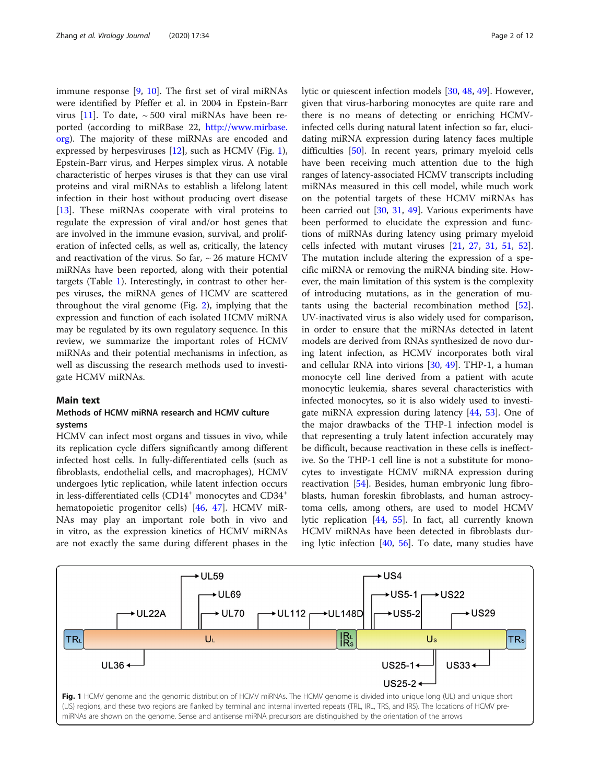immune response [\[9](#page-9-0), [10](#page-9-0)]. The first set of viral miRNAs were identified by Pfeffer et al. in 2004 in Epstein-Barr virus [\[11\]](#page-9-0). To date,  $\sim$  500 viral miRNAs have been reported (according to miRBase 22, [http://www.mirbase.](http://www.mirbase.org) [org](http://www.mirbase.org)). The majority of these miRNAs are encoded and expressed by herpesviruses  $[12]$  $[12]$ , such as HCMV (Fig. 1), Epstein-Barr virus, and Herpes simplex virus. A notable characteristic of herpes viruses is that they can use viral proteins and viral miRNAs to establish a lifelong latent infection in their host without producing overt disease [[13\]](#page-9-0). These miRNAs cooperate with viral proteins to regulate the expression of viral and/or host genes that are involved in the immune evasion, survival, and proliferation of infected cells, as well as, critically, the latency and reactivation of the virus. So far,  $\sim$  26 mature HCMV miRNAs have been reported, along with their potential targets (Table [1](#page-2-0)). Interestingly, in contrast to other herpes viruses, the miRNA genes of HCMV are scattered throughout the viral genome (Fig. [2\)](#page-5-0), implying that the expression and function of each isolated HCMV miRNA may be regulated by its own regulatory sequence. In this review, we summarize the important roles of HCMV miRNAs and their potential mechanisms in infection, as well as discussing the research methods used to investigate HCMV miRNAs.

# Main text

# Methods of HCMV miRNA research and HCMV culture systems

HCMV can infect most organs and tissues in vivo, while its replication cycle differs significantly among different infected host cells. In fully-differentiated cells (such as fibroblasts, endothelial cells, and macrophages), HCMV undergoes lytic replication, while latent infection occurs in less-differentiated cells  $(CD14<sup>+</sup>$  monocytes and  $CD34<sup>+</sup>$ hematopoietic progenitor cells) [\[46](#page-10-0), [47](#page-10-0)]. HCMV miR-NAs may play an important role both in vivo and in vitro, as the expression kinetics of HCMV miRNAs are not exactly the same during different phases in the lytic or quiescent infection models [\[30,](#page-10-0) [48,](#page-10-0) [49\]](#page-10-0). However, given that virus-harboring monocytes are quite rare and there is no means of detecting or enriching HCMVinfected cells during natural latent infection so far, elucidating miRNA expression during latency faces multiple difficulties [[50\]](#page-10-0). In recent years, primary myeloid cells have been receiving much attention due to the high ranges of latency-associated HCMV transcripts including miRNAs measured in this cell model, while much work on the potential targets of these HCMV miRNAs has been carried out [\[30](#page-10-0), [31,](#page-10-0) [49\]](#page-10-0). Various experiments have been performed to elucidate the expression and functions of miRNAs during latency using primary myeloid cells infected with mutant viruses [[21,](#page-9-0) [27](#page-10-0), [31,](#page-10-0) [51,](#page-10-0) [52](#page-10-0)]. The mutation include altering the expression of a specific miRNA or removing the miRNA binding site. However, the main limitation of this system is the complexity of introducing mutations, as in the generation of mutants using the bacterial recombination method [\[52](#page-10-0)]. UV-inactivated virus is also widely used for comparison, in order to ensure that the miRNAs detected in latent models are derived from RNAs synthesized de novo during latent infection, as HCMV incorporates both viral and cellular RNA into virions [\[30](#page-10-0), [49\]](#page-10-0). THP-1, a human monocyte cell line derived from a patient with acute monocytic leukemia, shares several characteristics with infected monocytes, so it is also widely used to investigate miRNA expression during latency [\[44](#page-10-0), [53\]](#page-10-0). One of the major drawbacks of the THP-1 infection model is that representing a truly latent infection accurately may be difficult, because reactivation in these cells is ineffective. So the THP-1 cell line is not a substitute for monocytes to investigate HCMV miRNA expression during reactivation [\[54](#page-10-0)]. Besides, human embryonic lung fibroblasts, human foreskin fibroblasts, and human astrocytoma cells, among others, are used to model HCMV lytic replication [\[44](#page-10-0), [55](#page-10-0)]. In fact, all currently known HCMV miRNAs have been detected in fibroblasts during lytic infection [\[40,](#page-10-0) [56](#page-10-0)]. To date, many studies have

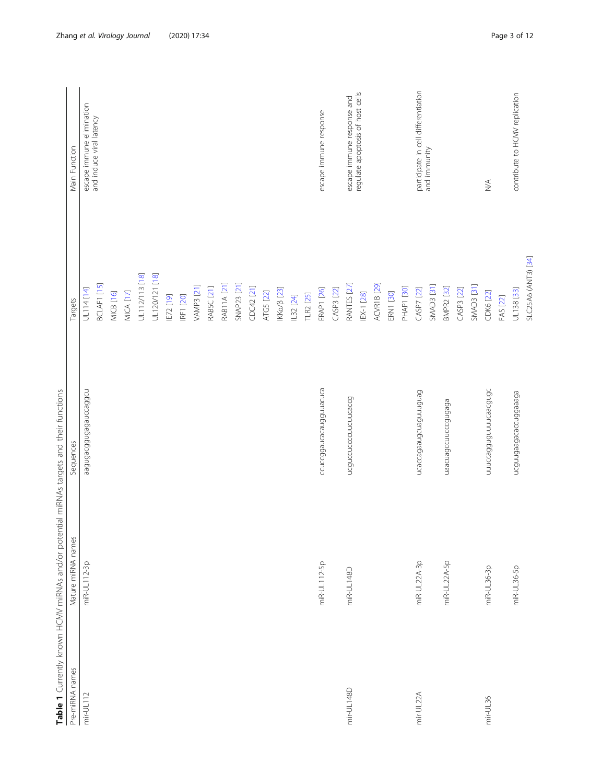|                 | Table 1 Currently known HCMV miRNAs and/or potential miRNAs targets and their functions |                               |                        |                                                       |
|-----------------|-----------------------------------------------------------------------------------------|-------------------------------|------------------------|-------------------------------------------------------|
| Pre-miRNA names | Mature miRNA names                                                                      | Sequences                     | Targets                | Main Function                                         |
| $mir-UL112$     | miR-UL112-3p                                                                            | nobeconebebnbboebnbee         | UL114 [14]             | escape immune elimination<br>and induce viral latency |
|                 |                                                                                         |                               | BCLAF1 [15]            |                                                       |
|                 |                                                                                         |                               | MICB [16]              |                                                       |
|                 |                                                                                         |                               | MICA [17]              |                                                       |
|                 |                                                                                         |                               | UL112/113 [18]         |                                                       |
|                 |                                                                                         |                               | UL120/121 [18]         |                                                       |
|                 |                                                                                         |                               | IE72 [19]              |                                                       |
|                 |                                                                                         |                               | IRF1 [20]              |                                                       |
|                 |                                                                                         |                               | VAMP3 [21]             |                                                       |
|                 |                                                                                         |                               | RAB5C [21]             |                                                       |
|                 |                                                                                         |                               | RAB11A [21]            |                                                       |
|                 |                                                                                         |                               | SNAP23 [21]            |                                                       |
|                 |                                                                                         |                               | CDC42 [21]             |                                                       |
|                 |                                                                                         |                               | ATG5 [22]              |                                                       |
|                 |                                                                                         |                               | IKKα/β [23]            |                                                       |
|                 |                                                                                         |                               | IL32 [24]              |                                                       |
|                 |                                                                                         |                               | TLR2 [25]              |                                                       |
|                 | miR-UL112-5p                                                                            | ccuccggaucacaugguuacuca       | <b>ERAP1 [26]</b>      | escape immune response                                |
|                 |                                                                                         |                               | CASP3 [22]             |                                                       |
| mir-UL148D      | miR-UL148D                                                                              | ncanccnccccnncnncacca         | RANTES [27]            | escape immune response and                            |
|                 |                                                                                         |                               | EX-1 [28]              | regulate apoptosis of host cells                      |
|                 |                                                                                         |                               | ACVR1B <sub>[29]</sub> |                                                       |
|                 |                                                                                         |                               | <b>ERN1 [30]</b>       |                                                       |
|                 |                                                                                         |                               | <b>PHAP1 [30]</b>      |                                                       |
| mir-UL22A       | miR-UL22A-3p                                                                            | <b>Genfonnbenboneebeppepn</b> | CASP7 [22]             | participate in cell differentiation                   |
|                 |                                                                                         |                               | <b>SMAD3</b> [31]      | and immunity                                          |
|                 | miR-UL22A-5p                                                                            | naacuagccuuccgugaga           | <b>BMPR2 [32]</b>      |                                                       |
|                 |                                                                                         |                               | CASP3 [22]             |                                                       |
|                 |                                                                                         |                               | SMAD3 [31]             |                                                       |
| $mir-UL36$      | miR-UL36-3p                                                                             | hunceabhnnnnceach             | CDK6 [22]              | $\stackrel{\triangleleft}{\geq}$                      |
|                 |                                                                                         |                               | FAS [22]               |                                                       |
|                 | miR-UL36-5p                                                                             | <b>EGeeeGGnooeoeGeeGnnGon</b> | UL138 [33]             | contribute to HCMV replication                        |
|                 |                                                                                         |                               | SLC25A6 (ANT3) [34]    |                                                       |

<span id="page-2-0"></span>Zhang et al. Virology Journal (2020) 17:34 example 3 of 12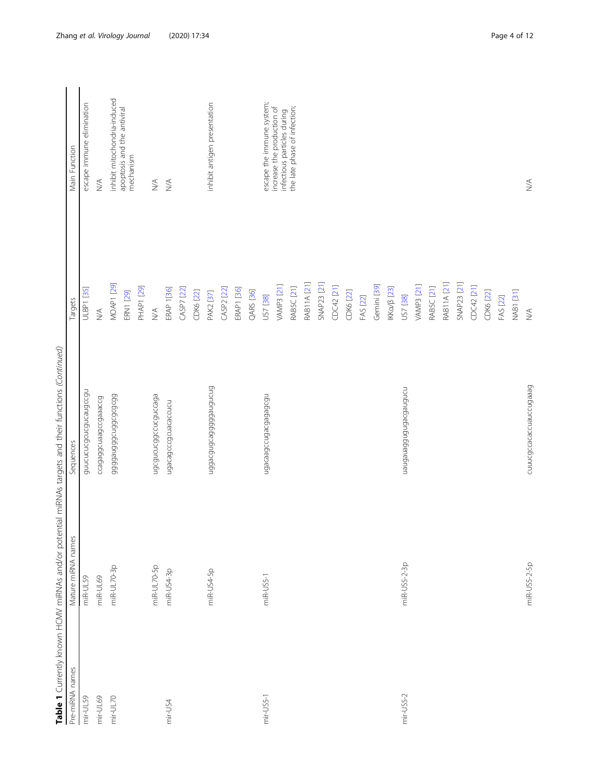|                 |                    | Table 1 Currently known HCMV miRNAs and/or potential miRNAs targets and their functions (Continued) |                              |                                                           |
|-----------------|--------------------|-----------------------------------------------------------------------------------------------------|------------------------------|-----------------------------------------------------------|
| Pre-miRNA names | Mature miRNA names | Sequences                                                                                           | Targets                      | Main Function                                             |
| mir-UL59        | miR-UL59           | annchreancanceanaccan                                                                               | <b>ULBP1</b> [35]            | escape immune elimination                                 |
| mir-UL69        | miR-UL69           | Ccagaggongesung                                                                                     | $\lessgtr$                   | $\lesssim$                                                |
| $mir-UL70$      | miR-UL70-3p        | 66565656mp666666666666                                                                              | <b>MOAP1 [29]</b>            | inhibit mitochondria-induced                              |
|                 |                    |                                                                                                     | <b>ERN1</b> [29]             | apoptosis and the antiviral<br>mechanism                  |
|                 |                    |                                                                                                     | <b>PHAP1</b> [29]            |                                                           |
|                 | miR-UL70-5p        | ndcancondaccncanceada                                                                               | $\stackrel{\triangle}{\geq}$ | $\stackrel{\triangleleft}{\geq}$                          |
| mir-US4         | miR-US4-3p         | ugacagcccgcuacaccucu                                                                                | <b>ERAP 1[36]</b>            | $\lesssim$                                                |
|                 |                    |                                                                                                     | CASP7 [22]                   |                                                           |
|                 |                    |                                                                                                     | CDK6 [22]                    |                                                           |
|                 | miR-US4-5p         | habeb 6666056162666                                                                                 | PAK2 [37]                    | inhibit antigen presentation                              |
|                 |                    |                                                                                                     | CASP2 [22]                   |                                                           |
|                 |                    |                                                                                                     | ERAP1 [36]                   |                                                           |
|                 |                    |                                                                                                     | <b>QARS</b> [36]             |                                                           |
| $mir-US5-1$     | miR-US5-1          | n6o6e6e6oe6noo6eeoe6n                                                                               | US7 [38]                     | escape the immune system;                                 |
|                 |                    |                                                                                                     | <b>VAMP3</b> [21]            | increase the production of<br>infectious particles during |
|                 |                    |                                                                                                     | RAB5C [21]                   | the late phase of infection;                              |
|                 |                    |                                                                                                     | <b>RAB11A [21]</b>           |                                                           |
|                 |                    |                                                                                                     | SNAP23 [21]                  |                                                           |
|                 |                    |                                                                                                     | CDC42 [21]                   |                                                           |
|                 |                    |                                                                                                     | CDK6 [22]                    |                                                           |
|                 |                    |                                                                                                     | FAS [22]                     |                                                           |
|                 |                    |                                                                                                     | Gemini [39]                  |                                                           |
|                 |                    |                                                                                                     | IKKα/β [23]                  |                                                           |
| mir-US5-2       | miR-US5-2-3p       | nonfonefooefonfofoenefonen                                                                          | US7 [38]                     |                                                           |
|                 |                    |                                                                                                     | <b>VAMP3</b> [21]            |                                                           |
|                 |                    |                                                                                                     | RABSC <sub>[21]</sub>        |                                                           |
|                 |                    |                                                                                                     | RAB11A [21]                  |                                                           |
|                 |                    |                                                                                                     | <b>SNAP23 [21]</b>           |                                                           |
|                 |                    |                                                                                                     | CDC42 [21]                   |                                                           |
|                 |                    |                                                                                                     | CDK6 [22]                    |                                                           |
|                 |                    |                                                                                                     | FAS [22]                     |                                                           |
|                 |                    |                                                                                                     | NAB1 [31]                    |                                                           |
|                 | miR-US5-2-5p       | cuuucgccacaccuauccugaaag                                                                            | $\lessgtr$                   | $\stackrel{\triangle}{\geq}$                              |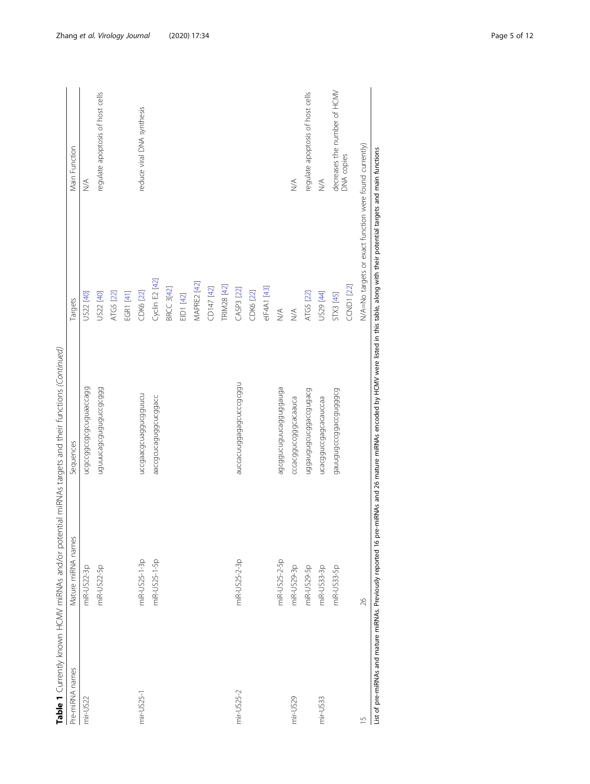|                 |                    | Table 1 Currently known HCMV miRNAs and/or potential miRNAs targets and their functions (Continued)                                                                                           |                         |                                                        |
|-----------------|--------------------|-----------------------------------------------------------------------------------------------------------------------------------------------------------------------------------------------|-------------------------|--------------------------------------------------------|
| Pre-miRNA names | Mature miRNA names | Sequences                                                                                                                                                                                     | Targets                 | Main Function                                          |
| mir-US22        | miR-US22-3p        | hcaccadchapholoshan                                                                                                                                                                           | US22 [40]               | WA                                                     |
|                 | miR-US22-5p        | 665655556566666666666                                                                                                                                                                         | US22 [40]               | regulate apoptosis of host cells                       |
|                 |                    |                                                                                                                                                                                               | ATG5 [22]               |                                                        |
|                 |                    |                                                                                                                                                                                               | EGR1 [41]               |                                                        |
| mir-US25-1      | miR-US25-1-3p      | nccgaacgcuaggucgguucu                                                                                                                                                                         | CDK6 [22]               | reduce viral DNA synthesis                             |
|                 | miR-US25-1-5p      | aaccgcuoggugggacc                                                                                                                                                                             | Cyclin E2 [42]          |                                                        |
|                 |                    |                                                                                                                                                                                               | <b>BRCC 3[42]</b>       |                                                        |
|                 |                    |                                                                                                                                                                                               | EID1 [42]               |                                                        |
|                 |                    |                                                                                                                                                                                               | MAPRE2 [42]             |                                                        |
|                 |                    |                                                                                                                                                                                               | CD147 [42]              |                                                        |
|                 |                    |                                                                                                                                                                                               | TRIM28 [42]             |                                                        |
| mir-US25-2      | miR-US25-2-3p      | n60c9cnn5e6e66nn2epre                                                                                                                                                                         | CASP3 [22]              |                                                        |
|                 |                    |                                                                                                                                                                                               | CDK6 [22]               |                                                        |
|                 |                    |                                                                                                                                                                                               | elF4A1 [43]             |                                                        |
|                 | miR-US25-2-5p      | ephepphonumphynophe                                                                                                                                                                           | $\stackrel{\leq}{\geq}$ |                                                        |
| mir-US29        | miR-US29-3p        | cccacggguagenes                                                                                                                                                                               | $\leq$                  | $\lessgtr$                                             |
|                 | miR-US29-5p        | boebnboorchon.php.pro                                                                                                                                                                         | ATG5 [22]               | regulate apoptosis of host cells                       |
| mir-US33        | miR-US33-3p        | ucacgguccgagcauccaa                                                                                                                                                                           | US29 [44]               | WA                                                     |
|                 | miR-US33-5p        |                                                                                                                                                                                               | STX3 [45]               | decreases the number of HCMV                           |
|                 |                    |                                                                                                                                                                                               | <b>CCND1 [22]</b>       | DNA copies                                             |
| $\frac{5}{1}$   | 26                 |                                                                                                                                                                                               |                         | N/A=No targets or exact function were found currently) |
|                 |                    | List of pre-miRNAs and mature miRNAs. Previously reported 16 pre-miRNAs and 26 mature miRNAs encoded by HCMV were listed in this table, along with their potential targets and main functions |                         |                                                        |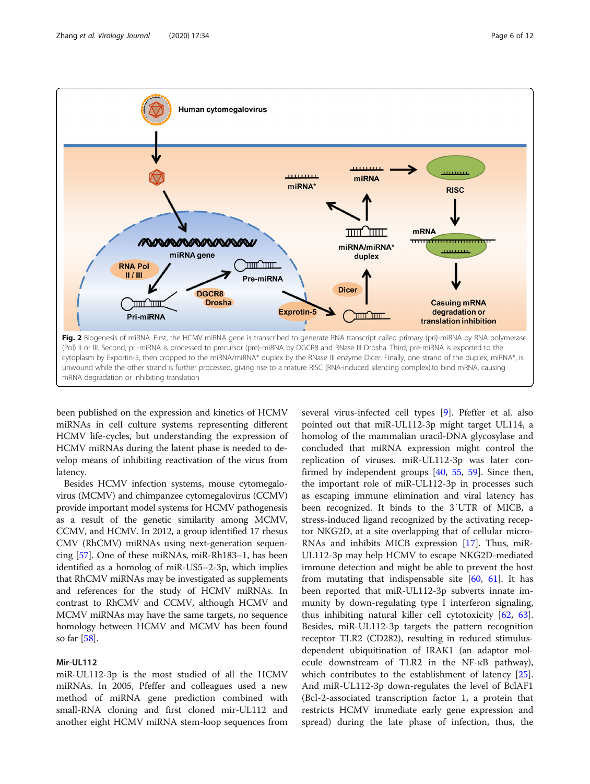<span id="page-5-0"></span>

been published on the expression and kinetics of HCMV miRNAs in cell culture systems representing different HCMV life-cycles, but understanding the expression of HCMV miRNAs during the latent phase is needed to develop means of inhibiting reactivation of the virus from latency.

Besides HCMV infection systems, mouse cytomegalovirus (MCMV) and chimpanzee cytomegalovirus (CCMV) provide important model systems for HCMV pathogenesis as a result of the genetic similarity among MCMV, CCMV, and HCMV. In 2012, a group identified 17 rhesus CMV (RhCMV) miRNAs using next-generation sequencing [[57](#page-10-0)]. One of these miRNAs, miR-Rh183–1, has been identified as a homolog of miR-US5–2-3p, which implies that RhCMV miRNAs may be investigated as supplements and references for the study of HCMV miRNAs. In contrast to RhCMV and CCMV, although HCMV and MCMV miRNAs may have the same targets, no sequence homology between HCMV and MCMV has been found so far [\[58](#page-10-0)].

# Mir-UL112

miR-UL112-3p is the most studied of all the HCMV miRNAs. In 2005, Pfeffer and colleagues used a new method of miRNA gene prediction combined with small-RNA cloning and first cloned mir-UL112 and another eight HCMV miRNA stem-loop sequences from

several virus-infected cell types [[9\]](#page-9-0). Pfeffer et al. also pointed out that miR-UL112-3p might target UL114, a homolog of the mammalian uracil-DNA glycosylase and concluded that miRNA expression might control the replication of viruses. miR-UL112-3p was later confirmed by independent groups [\[40,](#page-10-0) [55](#page-10-0), [59](#page-10-0)]. Since then, the important role of miR-UL112-3p in processes such as escaping immune elimination and viral latency has been recognized. It binds to the 3′UTR of MICB, a stress-induced ligand recognized by the activating receptor NKG2D, at a site overlapping that of cellular micro-RNAs and inhibits MICB expression [\[17\]](#page-9-0). Thus, miR-UL112-3p may help HCMV to escape NKG2D-mediated immune detection and might be able to prevent the host from mutating that indispensable site  $[60, 61]$  $[60, 61]$  $[60, 61]$  $[60, 61]$ . It has been reported that miR-UL112-3p subverts innate immunity by down-regulating type I interferon signaling, thus inhibiting natural killer cell cytotoxicity [\[62](#page-10-0), [63](#page-10-0)]. Besides, miR-UL112-3p targets the pattern recognition receptor TLR2 (CD282), resulting in reduced stimulusdependent ubiquitination of IRAK1 (an adaptor molecule downstream of TLR2 in the NF-κB pathway), which contributes to the establishment of latency [\[25](#page-10-0)]. And miR-UL112-3p down-regulates the level of BclAF1 (Bcl-2-associated transcription factor 1, a protein that restricts HCMV immediate early gene expression and spread) during the late phase of infection, thus, the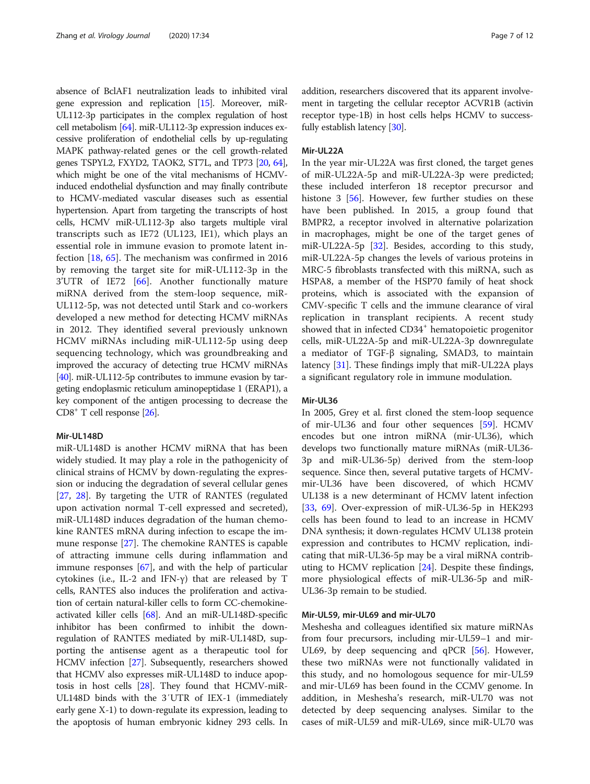absence of BclAF1 neutralization leads to inhibited viral gene expression and replication [\[15\]](#page-9-0). Moreover, miR-UL112-3p participates in the complex regulation of host cell metabolism [\[64\]](#page-10-0). miR-UL112-3p expression induces excessive proliferation of endothelial cells by up-regulating MAPK pathway-related genes or the cell growth-related genes TSPYL2, FXYD2, TAOK2, ST7L, and TP73 [\[20,](#page-9-0) [64](#page-10-0)], which might be one of the vital mechanisms of HCMVinduced endothelial dysfunction and may finally contribute to HCMV-mediated vascular diseases such as essential hypertension. Apart from targeting the transcripts of host cells, HCMV miR-UL112-3p also targets multiple viral transcripts such as IE72 (UL123, IE1), which plays an essential role in immune evasion to promote latent infection [[18,](#page-9-0) [65\]](#page-10-0). The mechanism was confirmed in 2016 by removing the target site for miR-UL112-3p in the 3'UTR of IE72 [[66\]](#page-10-0). Another functionally mature miRNA derived from the stem-loop sequence, miR-UL112-5p, was not detected until Stark and co-workers developed a new method for detecting HCMV miRNAs in 2012. They identified several previously unknown HCMV miRNAs including miR-UL112-5p using deep sequencing technology, which was groundbreaking and improved the accuracy of detecting true HCMV miRNAs [[40](#page-10-0)]. miR-UL112-5p contributes to immune evasion by targeting endoplasmic reticulum aminopeptidase 1 (ERAP1), a key component of the antigen processing to decrease the CD8+ T cell response [\[26\]](#page-10-0).

# Mir-UL148D

miR-UL148D is another HCMV miRNA that has been widely studied. It may play a role in the pathogenicity of clinical strains of HCMV by down-regulating the expression or inducing the degradation of several cellular genes [[27,](#page-10-0) [28](#page-10-0)]. By targeting the UTR of RANTES (regulated upon activation normal T-cell expressed and secreted), miR-UL148D induces degradation of the human chemokine RANTES mRNA during infection to escape the immune response [[27\]](#page-10-0). The chemokine RANTES is capable of attracting immune cells during inflammation and immune responses [\[67](#page-10-0)], and with the help of particular cytokines (i.e., IL-2 and IFN-γ) that are released by T cells, RANTES also induces the proliferation and activation of certain natural-killer cells to form CC-chemokineactivated killer cells [\[68\]](#page-10-0). And an miR-UL148D-specific inhibitor has been confirmed to inhibit the downregulation of RANTES mediated by miR-UL148D, supporting the antisense agent as a therapeutic tool for HCMV infection [\[27\]](#page-10-0). Subsequently, researchers showed that HCMV also expresses miR-UL148D to induce apoptosis in host cells [\[28](#page-10-0)]. They found that HCMV-miR-UL148D binds with the 3′UTR of IEX-1 (immediately early gene X-1) to down-regulate its expression, leading to the apoptosis of human embryonic kidney 293 cells. In addition, researchers discovered that its apparent involvement in targeting the cellular receptor ACVR1B (activin receptor type-1B) in host cells helps HCMV to successfully establish latency [\[30](#page-10-0)].

### Mir-UL22A

In the year mir-UL22A was first cloned, the target genes of miR-UL22A-5p and miR-UL22A-3p were predicted; these included interferon 18 receptor precursor and histone 3 [[56](#page-10-0)]. However, few further studies on these have been published. In 2015, a group found that BMPR2, a receptor involved in alternative polarization in macrophages, might be one of the target genes of miR-UL22A-5p [[32\]](#page-10-0). Besides, according to this study, miR-UL22A-5p changes the levels of various proteins in MRC-5 fibroblasts transfected with this miRNA, such as HSPA8, a member of the HSP70 family of heat shock proteins, which is associated with the expansion of CMV-specific T cells and the immune clearance of viral replication in transplant recipients. A recent study showed that in infected CD34<sup>+</sup> hematopoietic progenitor cells, miR-UL22A-5p and miR-UL22A-3p downregulate a mediator of TGF-β signaling, SMAD3, to maintain latency [[31](#page-10-0)]. These findings imply that miR-UL22A plays a significant regulatory role in immune modulation.

# Mir-UL36

In 2005, Grey et al. first cloned the stem-loop sequence of mir-UL36 and four other sequences [\[59](#page-10-0)]. HCMV encodes but one intron miRNA (mir-UL36), which develops two functionally mature miRNAs (miR-UL36- 3p and miR-UL36-5p) derived from the stem-loop sequence. Since then, several putative targets of HCMVmir-UL36 have been discovered, of which HCMV UL138 is a new determinant of HCMV latent infection [[33,](#page-10-0) [69\]](#page-11-0). Over-expression of miR-UL36-5p in HEK293 cells has been found to lead to an increase in HCMV DNA synthesis; it down-regulates HCMV UL138 protein expression and contributes to HCMV replication, indicating that miR-UL36-5p may be a viral miRNA contributing to HCMV replication [[24\]](#page-10-0). Despite these findings, more physiological effects of miR-UL36-5p and miR-UL36-3p remain to be studied.

#### Mir-UL59, mir-UL69 and mir-UL70

Meshesha and colleagues identified six mature miRNAs from four precursors, including mir-UL59–1 and mir-UL69, by deep sequencing and qPCR [\[56\]](#page-10-0). However, these two miRNAs were not functionally validated in this study, and no homologous sequence for mir-UL59 and mir-UL69 has been found in the CCMV genome. In addition, in Meshesha's research, miR-UL70 was not detected by deep sequencing analyses. Similar to the cases of miR-UL59 and miR-UL69, since miR-UL70 was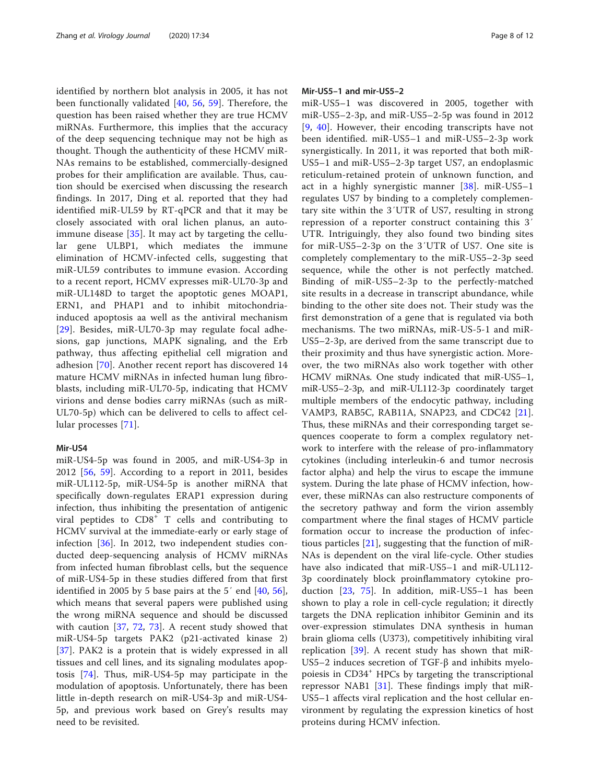identified by northern blot analysis in 2005, it has not been functionally validated [\[40,](#page-10-0) [56,](#page-10-0) [59\]](#page-10-0). Therefore, the question has been raised whether they are true HCMV miRNAs. Furthermore, this implies that the accuracy of the deep sequencing technique may not be high as thought. Though the authenticity of these HCMV miR-NAs remains to be established, commercially-designed probes for their amplification are available. Thus, caution should be exercised when discussing the research findings. In 2017, Ding et al. reported that they had identified miR-UL59 by RT-qPCR and that it may be closely associated with oral lichen planus, an autoimmune disease  $[35]$  $[35]$  $[35]$ . It may act by targeting the cellular gene ULBP1, which mediates the immune elimination of HCMV-infected cells, suggesting that miR-UL59 contributes to immune evasion. According to a recent report, HCMV expresses miR-UL70-3p and miR-UL148D to target the apoptotic genes MOAP1, ERN1, and PHAP1 and to inhibit mitochondriainduced apoptosis aa well as the antiviral mechanism [[29](#page-10-0)]. Besides, miR-UL70-3p may regulate focal adhesions, gap junctions, MAPK signaling, and the Erb pathway, thus affecting epithelial cell migration and adhesion [\[70\]](#page-11-0). Another recent report has discovered 14 mature HCMV miRNAs in infected human lung fibroblasts, including miR-UL70-5p, indicating that HCMV virions and dense bodies carry miRNAs (such as miR-UL70-5p) which can be delivered to cells to affect cellular processes [[71](#page-11-0)].

# Mir-US4

miR-US4-5p was found in 2005, and miR-US4-3p in 2012 [\[56](#page-10-0), [59](#page-10-0)]. According to a report in 2011, besides miR-UL112-5p, miR-US4-5p is another miRNA that specifically down-regulates ERAP1 expression during infection, thus inhibiting the presentation of antigenic viral peptides to  $CD8<sup>+</sup>$  T cells and contributing to HCMV survival at the immediate-early or early stage of infection [\[36](#page-10-0)]. In 2012, two independent studies conducted deep-sequencing analysis of HCMV miRNAs from infected human fibroblast cells, but the sequence of miR-US4-5p in these studies differed from that first identified in 2005 by 5 base pairs at the  $5'$  end  $[40, 56]$  $[40, 56]$  $[40, 56]$  $[40, 56]$  $[40, 56]$ , which means that several papers were published using the wrong miRNA sequence and should be discussed with caution [[37,](#page-10-0) [72](#page-11-0), [73\]](#page-11-0). A recent study showed that miR-US4-5p targets PAK2 (p21-activated kinase 2) [[37\]](#page-10-0). PAK2 is a protein that is widely expressed in all tissues and cell lines, and its signaling modulates apoptosis [\[74](#page-11-0)]. Thus, miR-US4-5p may participate in the modulation of apoptosis. Unfortunately, there has been little in-depth research on miR-US4-3p and miR-US4- 5p, and previous work based on Grey's results may need to be revisited.

# Mir-US5–1 and mir-US5–2

miR-US5–1 was discovered in 2005, together with miR-US5–2-3p, and miR-US5–2-5p was found in 2012 [[9](#page-9-0), [40\]](#page-10-0). However, their encoding transcripts have not been identified. miR-US5–1 and miR-US5–2-3p work synergistically. In 2011, it was reported that both miR-US5–1 and miR-US5–2-3p target US7, an endoplasmic reticulum-retained protein of unknown function, and act in a highly synergistic manner  $[38]$  $[38]$  $[38]$ . miR-US5-1 regulates US7 by binding to a completely complementary site within the 3′UTR of US7, resulting in strong repression of a reporter construct containing this 3′ UTR. Intriguingly, they also found two binding sites for miR-US5–2-3p on the 3′UTR of US7. One site is completely complementary to the miR-US5–2-3p seed sequence, while the other is not perfectly matched. Binding of miR-US5–2-3p to the perfectly-matched site results in a decrease in transcript abundance, while binding to the other site does not. Their study was the first demonstration of a gene that is regulated via both mechanisms. The two miRNAs, miR-US-5-1 and miR-US5–2-3p, are derived from the same transcript due to their proximity and thus have synergistic action. Moreover, the two miRNAs also work together with other HCMV miRNAs. One study indicated that miR-US5–1, miR-US5–2-3p, and miR-UL112-3p coordinately target multiple members of the endocytic pathway, including VAMP3, RAB5C, RAB11A, SNAP23, and CDC42 [\[21](#page-9-0)]. Thus, these miRNAs and their corresponding target sequences cooperate to form a complex regulatory network to interfere with the release of pro-inflammatory cytokines (including interleukin-6 and tumor necrosis factor alpha) and help the virus to escape the immune system. During the late phase of HCMV infection, however, these miRNAs can also restructure components of the secretory pathway and form the virion assembly compartment where the final stages of HCMV particle formation occur to increase the production of infectious particles [\[21](#page-9-0)], suggesting that the function of miR-NAs is dependent on the viral life-cycle. Other studies have also indicated that miR-US5–1 and miR-UL112- 3p coordinately block proinflammatory cytokine production [[23,](#page-9-0) [75](#page-11-0)]. In addition, miR-US5–1 has been shown to play a role in cell-cycle regulation; it directly targets the DNA replication inhibitor Geminin and its over-expression stimulates DNA synthesis in human brain glioma cells (U373), competitively inhibiting viral replication  $[39]$  $[39]$ . A recent study has shown that miR-US5–2 induces secretion of TGF-β and inhibits myelopoiesis in CD34<sup>+</sup> HPCs by targeting the transcriptional repressor NAB1 [\[31](#page-10-0)]. These findings imply that miR-US5–1 affects viral replication and the host cellular environment by regulating the expression kinetics of host proteins during HCMV infection.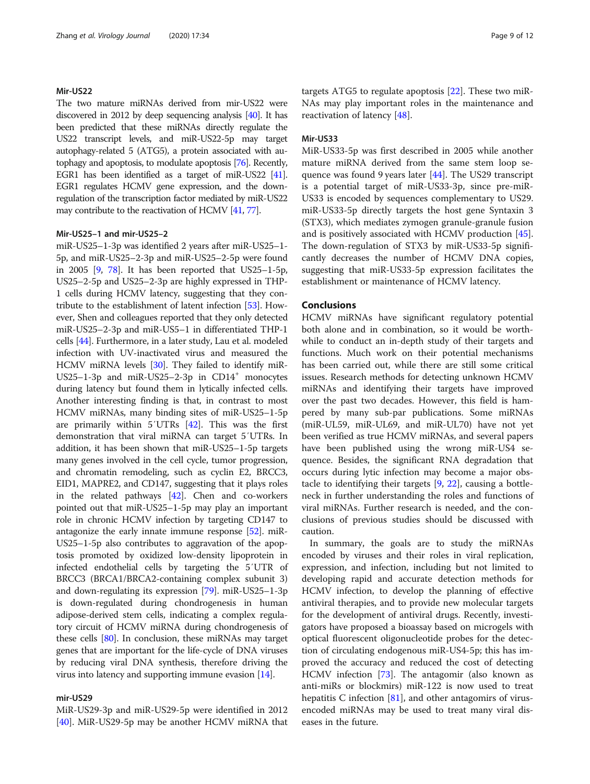# Mir-US22

The two mature miRNAs derived from mir-US22 were discovered in 2012 by deep sequencing analysis [[40\]](#page-10-0). It has been predicted that these miRNAs directly regulate the US22 transcript levels, and miR-US22-5p may target autophagy-related 5 (ATG5), a protein associated with autophagy and apoptosis, to modulate apoptosis [\[76](#page-11-0)]. Recently, EGR1 has been identified as a target of miR-US22 [\[41](#page-10-0)]. EGR1 regulates HCMV gene expression, and the downregulation of the transcription factor mediated by miR-US22 may contribute to the reactivation of HCMV [\[41,](#page-10-0) [77\]](#page-11-0).

### Mir-US25–1 and mir-US25–2

miR-US25–1-3p was identified 2 years after miR-US25–1- 5p, and miR-US25–2-3p and miR-US25–2-5p were found in 2005 [\[9,](#page-9-0) [78\]](#page-11-0). It has been reported that US25–1-5p, US25–2-5p and US25–2-3p are highly expressed in THP-1 cells during HCMV latency, suggesting that they contribute to the establishment of latent infection [[53](#page-10-0)]. However, Shen and colleagues reported that they only detected miR-US25–2-3p and miR-US5–1 in differentiated THP-1 cells [[44](#page-10-0)]. Furthermore, in a later study, Lau et al. modeled infection with UV-inactivated virus and measured the HCMV miRNA levels [[30](#page-10-0)]. They failed to identify miR-US25-1-3p and miR-US25-2-3p in CD14<sup>+</sup> monocytes during latency but found them in lytically infected cells. Another interesting finding is that, in contrast to most HCMV miRNAs, many binding sites of miR-US25–1-5p are primarily within 5′UTRs [\[42\]](#page-10-0). This was the first demonstration that viral miRNA can target 5′UTRs. In addition, it has been shown that miR-US25–1-5p targets many genes involved in the cell cycle, tumor progression, and chromatin remodeling, such as cyclin E2, BRCC3, EID1, MAPRE2, and CD147, suggesting that it plays roles in the related pathways [\[42\]](#page-10-0). Chen and co-workers pointed out that miR-US25–1-5p may play an important role in chronic HCMV infection by targeting CD147 to antagonize the early innate immune response [[52](#page-10-0)]. miR-US25–1-5p also contributes to aggravation of the apoptosis promoted by oxidized low-density lipoprotein in infected endothelial cells by targeting the 5′UTR of BRCC3 (BRCA1/BRCA2-containing complex subunit 3) and down-regulating its expression [\[79\]](#page-11-0). miR-US25–1-3p is down-regulated during chondrogenesis in human adipose-derived stem cells, indicating a complex regulatory circuit of HCMV miRNA during chondrogenesis of these cells [\[80\]](#page-11-0). In conclusion, these miRNAs may target genes that are important for the life-cycle of DNA viruses by reducing viral DNA synthesis, therefore driving the virus into latency and supporting immune evasion [[14](#page-9-0)].

# mir-US29

MiR-US29-3p and miR-US29-5p were identified in 2012 [[40\]](#page-10-0). MiR-US29-5p may be another HCMV miRNA that

targets ATG5 to regulate apoptosis [[22\]](#page-9-0). These two miR-NAs may play important roles in the maintenance and reactivation of latency [\[48](#page-10-0)].

# Mir-US33

MiR-US33-5p was first described in 2005 while another mature miRNA derived from the same stem loop sequence was found 9 years later [[44\]](#page-10-0). The US29 transcript is a potential target of miR-US33-3p, since pre-miR-US33 is encoded by sequences complementary to US29. miR-US33-5p directly targets the host gene Syntaxin 3 (STX3), which mediates zymogen granule-granule fusion and is positively associated with HCMV production [\[45](#page-10-0)]. The down-regulation of STX3 by miR-US33-5p significantly decreases the number of HCMV DNA copies, suggesting that miR-US33-5p expression facilitates the establishment or maintenance of HCMV latency.

### Conclusions

HCMV miRNAs have significant regulatory potential both alone and in combination, so it would be worthwhile to conduct an in-depth study of their targets and functions. Much work on their potential mechanisms has been carried out, while there are still some critical issues. Research methods for detecting unknown HCMV miRNAs and identifying their targets have improved over the past two decades. However, this field is hampered by many sub-par publications. Some miRNAs (miR-UL59, miR-UL69, and miR-UL70) have not yet been verified as true HCMV miRNAs, and several papers have been published using the wrong miR-US4 sequence. Besides, the significant RNA degradation that occurs during lytic infection may become a major obstacle to identifying their targets [\[9](#page-9-0), [22](#page-9-0)], causing a bottleneck in further understanding the roles and functions of viral miRNAs. Further research is needed, and the conclusions of previous studies should be discussed with caution.

In summary, the goals are to study the miRNAs encoded by viruses and their roles in viral replication, expression, and infection, including but not limited to developing rapid and accurate detection methods for HCMV infection, to develop the planning of effective antiviral therapies, and to provide new molecular targets for the development of antiviral drugs. Recently, investigators have proposed a bioassay based on microgels with optical fluorescent oligonucleotide probes for the detection of circulating endogenous miR-US4-5p; this has improved the accuracy and reduced the cost of detecting HCMV infection [\[73](#page-11-0)]. The antagomir (also known as anti-miRs or blockmirs) miR-122 is now used to treat hepatitis C infection [\[81](#page-11-0)], and other antagomirs of virusencoded miRNAs may be used to treat many viral diseases in the future.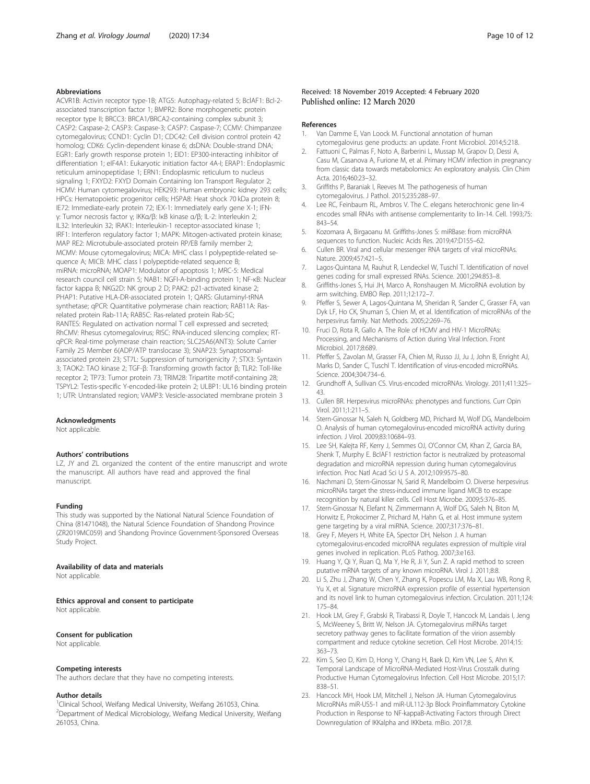# <span id="page-9-0"></span>Abbreviations

ACVR1B: Activin receptor type-1B; ATG5: Autophagy-related 5; BclAF1: Bcl-2 associated transcription factor 1; BMPR2: Bone morphogenetic protein receptor type II; BRCC3: BRCA1/BRCA2-containing complex subunit 3; CASP2: Caspase-2; CASP3: Caspase-3; CASP7: Caspase-7; CCMV: Chimpanzee cytomegalovirus; CCND1: Cyclin D1; CDC42: Cell division control protein 42 homolog; CDK6: Cyclin-dependent kinase 6; dsDNA: Double-strand DNA; EGR1: Early growth response protein 1; EID1: EP300-interacting inhibitor of differentiation 1; eIF4A1: Eukaryotic initiation factor 4A-I; ERAP1: Endoplasmic reticulum aminopeptidase 1; ERN1: Endoplasmic reticulum to nucleus signaling 1; FXYD2: FXYD Domain Containing Ion Transport Regulator 2; HCMV: Human cytomegalovirus; HEK293: Human embryonic kidney 293 cells; HPCs: Hematopoietic progenitor cells; HSPA8: Heat shock 70 kDa protein 8; IE72: Immediate-early protein 72; IEX-1: Immediately early gene X-1; IFNγ: Tumor necrosis factor γ; IKKα/β: IκB kinase α/β; IL-2: Interleukin 2; IL32: Interleukin 32; IRAK1: Interleukin-1 receptor-associated kinase 1; IRF1: Interferon regulatory factor 1; MAPK: Mitogen-activated protein kinase; MAP RE2: Microtubule-associated protein RP/EB family member 2; MCMV: Mouse cytomegalovirus; MICA: MHC class I polypeptide-related sequence A; MICB: MHC class I polypeptide-related sequence B; miRNA: microRNA; MOAP1: Modulator of apoptosis 1; MRC-5: Medical research council cell strain 5; NAB1: NGFI-A-binding protein 1; NF-κB: Nuclear factor kappa B; NKG2D: NK group 2 D; PAK2: p21-activated kinase 2; PHAP1: Putative HLA-DR-associated protein 1; QARS: Glutaminyl-tRNA synthetase; qPCR: Quantitative polymerase chain reaction; RAB11A: Rasrelated protein Rab-11A; RAB5C: Ras-related protein Rab-5C; RANTES: Regulated on activation normal T cell expressed and secreted; RhCMV: Rhesus cytomegalovirus; RISC: RNA-induced silencing complex; RTqPCR: Real-time polymerase chain reaction; SLC25A6(ANT3): Solute Carrier Family 25 Member 6(ADP/ATP translocase 3); SNAP23: Synaptosomalassociated protein 23; ST7L: Suppression of tumorigenicity 7; STX3: Syntaxin 3; TAOK2: TAO kinase 2; TGF-β: Transforming growth factor β; TLR2: Toll-like receptor 2; TP73: Tumor protein 73; TRIM28: Tripartite motif-containing 28; TSPYL2: Testis-specific Y-encoded-like protein 2; ULBP1: UL16 binding protein 1; UTR: Untranslated region; VAMP3: Vesicle-associated membrane protein 3

### Acknowledgments

Not applicable.

#### Authors' contributions

LZ, JY and ZL organized the content of the entire manuscript and wrote the manuscript. All authors have read and approved the final manuscript.

# Funding

This study was supported by the National Natural Science Foundation of China (81471048), the Natural Science Foundation of Shandong Province (ZR2019MC059) and Shandong Province Government-Sponsored Overseas Study Project.

# Availability of data and materials

Not applicable

Ethics approval and consent to participate Not applicable

### Consent for publication

Not applicable.

#### Competing interests

The authors declare that they have no competing interests.

#### Author details

<sup>1</sup>Clinical School, Weifang Medical University, Weifang 261053, China. 2 Department of Medical Microbiology, Weifang Medical University, Weifang 261053, China.

# Received: 18 November 2019 Accepted: 4 February 2020 Published online: 12 March 2020

#### References

- 1. Van Damme E, Van Loock M. Functional annotation of human cytomegalovirus gene products: an update. Front Microbiol. 2014;5:218.
- 2. Fattuoni C, Palmas F, Noto A, Barberini L, Mussap M, Grapov D, Dessi A, Casu M, Casanova A, Furione M, et al. Primary HCMV infection in pregnancy from classic data towards metabolomics: An exploratory analysis. Clin Chim Acta. 2016;460:23–32.
- 3. Griffiths P, Baraniak I, Reeves M. The pathogenesis of human cytomegalovirus. J Pathol. 2015;235:288–97.
- 4. Lee RC, Feinbaum RL, Ambros V. The C. elegans heterochronic gene lin-4 encodes small RNAs with antisense complementarity to lin-14. Cell. 1993;75: 843–54.
- 5. Kozomara A, Birgaoanu M. Griffiths-Jones S: miRBase: from microRNA sequences to function. Nucleic Acids Res. 2019;47:D155–62.
- 6. Cullen BR. Viral and cellular messenger RNA targets of viral microRNAs. Nature. 2009;457:421–5.
- 7. Lagos-Quintana M, Rauhut R, Lendeckel W, Tuschl T. Identification of novel genes coding for small expressed RNAs. Science. 2001;294:853–8.
- 8. Griffiths-Jones S, Hui JH, Marco A, Ronshaugen M. MicroRNA evolution by arm switching. EMBO Rep. 2011;12:172–7.
- 9. Pfeffer S, Sewer A, Lagos-Quintana M, Sheridan R, Sander C, Grasser FA, van Dyk LF, Ho CK, Shuman S, Chien M, et al. Identification of microRNAs of the herpesvirus family. Nat Methods. 2005;2:269–76.
- 10. Fruci D, Rota R, Gallo A. The Role of HCMV and HIV-1 MicroRNAs: Processing, and Mechanisms of Action during Viral Infection. Front Microbiol. 2017;8:689.
- 11. Pfeffer S, Zavolan M, Grasser FA, Chien M, Russo JJ, Ju J, John B, Enright AJ, Marks D, Sander C, Tuschl T. Identification of virus-encoded microRNAs. Science. 2004;304:734–6.
- 12. Grundhoff A, Sullivan CS. Virus-encoded microRNAs. Virology. 2011;411:325– 43.
- 13. Cullen BR. Herpesvirus microRNAs: phenotypes and functions. Curr Opin Virol. 2011;1:211–5.
- 14. Stern-Ginossar N, Saleh N, Goldberg MD, Prichard M, Wolf DG, Mandelboim O. Analysis of human cytomegalovirus-encoded microRNA activity during infection. J Virol. 2009;83:10684–93.
- 15. Lee SH, Kalejta RF, Kerry J, Semmes OJ, O'Connor CM, Khan Z, Garcia BA, Shenk T, Murphy E. BclAF1 restriction factor is neutralized by proteasomal degradation and microRNA repression during human cytomegalovirus infection. Proc Natl Acad Sci U S A. 2012;109:9575–80.
- 16. Nachmani D, Stern-Ginossar N, Sarid R, Mandelboim O. Diverse herpesvirus microRNAs target the stress-induced immune ligand MICB to escape recognition by natural killer cells. Cell Host Microbe. 2009;5:376–85.
- 17. Stern-Ginossar N, Elefant N, Zimmermann A, Wolf DG, Saleh N, Biton M, Horwitz E, Prokocimer Z, Prichard M, Hahn G, et al. Host immune system gene targeting by a viral miRNA. Science. 2007;317:376–81.
- 18. Grey F, Meyers H, White EA, Spector DH, Nelson J. A human cytomegalovirus-encoded microRNA regulates expression of multiple viral genes involved in replication. PLoS Pathog. 2007;3:e163.
- 19. Huang Y, Qi Y, Ruan Q, Ma Y, He R, Ji Y, Sun Z. A rapid method to screen putative mRNA targets of any known microRNA. Virol J. 2011;8:8.
- 20. Li S, Zhu J, Zhang W, Chen Y, Zhang K, Popescu LM, Ma X, Lau WB, Rong R, Yu X, et al. Signature microRNA expression profile of essential hypertension and its novel link to human cytomegalovirus infection. Circulation. 2011;124: 175–84.
- 21. Hook LM, Grey F, Grabski R, Tirabassi R, Doyle T, Hancock M, Landais I, Jeng S, McWeeney S, Britt W, Nelson JA. Cytomegalovirus miRNAs target secretory pathway genes to facilitate formation of the virion assembly compartment and reduce cytokine secretion. Cell Host Microbe. 2014;15: 363–73.
- 22. Kim S, Seo D, Kim D, Hong Y, Chang H, Baek D, Kim VN, Lee S, Ahn K. Temporal Landscape of MicroRNA-Mediated Host-Virus Crosstalk during Productive Human Cytomegalovirus Infection. Cell Host Microbe. 2015;17: 838–51.
- 23. Hancock MH, Hook LM, Mitchell J, Nelson JA. Human Cytomegalovirus MicroRNAs miR-US5-1 and miR-UL112-3p Block Proinflammatory Cytokine Production in Response to NF-kappaB-Activating Factors through Direct Downregulation of IKKalpha and IKKbeta. mBio. 2017;8.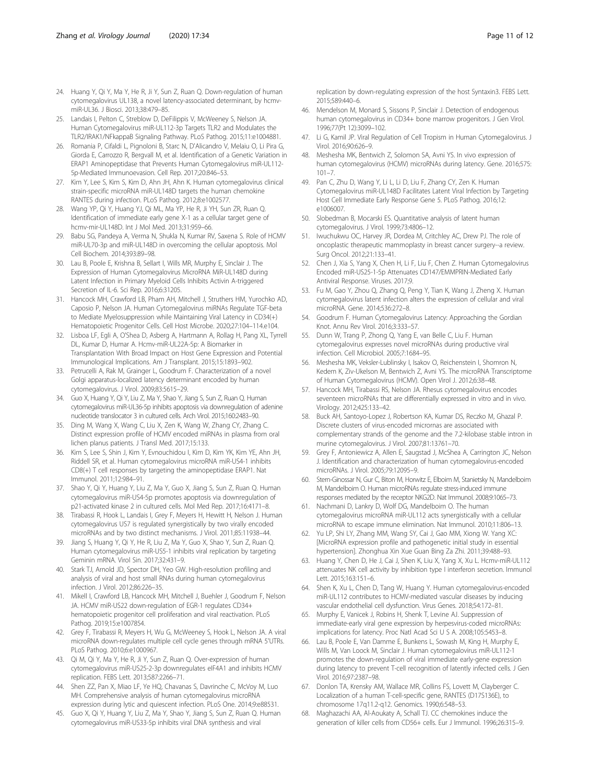- <span id="page-10-0"></span>24. Huang Y, Qi Y, Ma Y, He R, Ji Y, Sun Z, Ruan Q. Down-regulation of human cytomegalovirus UL138, a novel latency-associated determinant, by hcmvmiR-UL36. J Biosci. 2013;38:479–85.
- 25. Landais I, Pelton C, Streblow D, DeFilippis V, McWeeney S, Nelson JA. Human Cytomegalovirus miR-UL112-3p Targets TLR2 and Modulates the TLR2/IRAK1/NFkappaB Signaling Pathway. PLoS Pathog. 2015;11:e1004881.
- 26. Romania P, Cifaldi L, Pignoloni B, Starc N, D'Alicandro V, Melaiu O, Li Pira G, Giorda E, Carrozzo R, Bergvall M, et al. Identification of a Genetic Variation in ERAP1 Aminopeptidase that Prevents Human Cytomegalovirus miR-UL112- 5p-Mediated Immunoevasion. Cell Rep. 2017;20:846–53.
- 27. Kim Y, Lee S, Kim S, Kim D, Ahn JH, Ahn K. Human cytomegalovirus clinical strain-specific microRNA miR-UL148D targets the human chemokine RANTES during infection. PLoS Pathog. 2012;8:e1002577.
- 28. Wang YP, Qi Y, Huang YJ, Qi ML, Ma YP, He R, Ji YH, Sun ZR, Ruan Q. Identification of immediate early gene X-1 as a cellular target gene of hcmv-mir-UL148D. Int J Mol Med. 2013;31:959–66.
- 29. Babu SG, Pandeya A, Verma N, Shukla N, Kumar RV, Saxena S. Role of HCMV miR-UL70-3p and miR-UL148D in overcoming the cellular apoptosis. Mol Cell Biochem. 2014;393:89–98.
- 30. Lau B, Poole E, Krishna B, Sellart I, Wills MR, Murphy E, Sinclair J. The Expression of Human Cytomegalovirus MicroRNA MiR-UL148D during Latent Infection in Primary Myeloid Cells Inhibits Activin A-triggered Secretion of IL-6. Sci Rep. 2016;6:31205.
- 31. Hancock MH, Crawford LB, Pham AH, Mitchell J, Struthers HM, Yurochko AD, Caposio P, Nelson JA. Human Cytomegalovirus miRNAs Regulate TGF-beta to Mediate Myelosuppression while Maintaining Viral Latency in CD34(+) Hematopoietic Progenitor Cells. Cell Host Microbe. 2020;27:104–114.e104.
- 32. Lisboa LF, Egli A, O'Shea D, Asberg A, Hartmann A, Rollag H, Pang XL, Tyrrell DL, Kumar D, Humar A. Hcmv-miR-UL22A-5p: A Biomarker in Transplantation With Broad Impact on Host Gene Expression and Potential Immunological Implications. Am J Transplant. 2015;15:1893–902.
- 33. Petrucelli A, Rak M, Grainger L, Goodrum F. Characterization of a novel Golgi apparatus-localized latency determinant encoded by human cytomegalovirus. J Virol. 2009;83:5615–29.
- 34. Guo X, Huang Y, Qi Y, Liu Z, Ma Y, Shao Y, Jiang S, Sun Z, Ruan Q. Human cytomegalovirus miR-UL36-5p inhibits apoptosis via downregulation of adenine nucleotide translocator 3 in cultured cells. Arch Virol. 2015;160:2483–90.
- 35. Ding M, Wang X, Wang C, Liu X, Zen K, Wang W, Zhang CY, Zhang C. Distinct expression profile of HCMV encoded miRNAs in plasma from oral lichen planus patients. J Transl Med. 2017;15:133.
- 36. Kim S, Lee S, Shin J, Kim Y, Evnouchidou I, Kim D, Kim YK, Kim YE, Ahn JH, Riddell SR, et al. Human cytomegalovirus microRNA miR-US4-1 inhibits CD8(+) T cell responses by targeting the aminopeptidase ERAP1. Nat Immunol. 2011;12:984–91.
- 37. Shao Y, Qi Y, Huang Y, Liu Z, Ma Y, Guo X, Jiang S, Sun Z, Ruan Q. Human cytomegalovirus miR-US4-5p promotes apoptosis via downregulation of p21-activated kinase 2 in cultured cells. Mol Med Rep. 2017;16:4171–8.
- 38. Tirabassi R, Hook L, Landais I, Grey F, Meyers H, Hewitt H, Nelson J. Human cytomegalovirus US7 is regulated synergistically by two virally encoded microRNAs and by two distinct mechanisms. J Virol. 2011;85:11938–44.
- 39. Jiang S, Huang Y, Qi Y, He R, Liu Z, Ma Y, Guo X, Shao Y, Sun Z, Ruan Q. Human cytomegalovirus miR-US5-1 inhibits viral replication by targeting Geminin mRNA. Virol Sin. 2017;32:431–9.
- 40. Stark TJ, Arnold JD, Spector DH, Yeo GW. High-resolution profiling and analysis of viral and host small RNAs during human cytomegalovirus infection. J Virol. 2012;86:226–35.
- 41. Mikell I, Crawford LB, Hancock MH, Mitchell J, Buehler J, Goodrum F, Nelson JA. HCMV miR-US22 down-regulation of EGR-1 regulates CD34+ hematopoietic progenitor cell proliferation and viral reactivation. PLoS Pathog. 2019;15:e1007854.
- 42. Grey F, Tirabassi R, Meyers H, Wu G, McWeeney S, Hook L, Nelson JA. A viral microRNA down-regulates multiple cell cycle genes through mRNA 5'UTRs. PLoS Pathog. 2010;6:e1000967.
- 43. Qi M, Qi Y, Ma Y, He R, Ji Y, Sun Z, Ruan Q. Over-expression of human cytomegalovirus miR-US25-2-3p downregulates eIF4A1 and inhibits HCMV replication. FEBS Lett. 2013;587:2266–71.
- 44. Shen ZZ, Pan X, Miao LF, Ye HQ, Chavanas S, Davrinche C, McVoy M, Luo MH. Comprehensive analysis of human cytomegalovirus microRNA expression during lytic and quiescent infection. PLoS One. 2014;9:e88531.
- 45. Guo X, Qi Y, Huang Y, Liu Z, Ma Y, Shao Y, Jiang S, Sun Z, Ruan Q. Human cytomegalovirus miR-US33-5p inhibits viral DNA synthesis and viral

replication by down-regulating expression of the host Syntaxin3. FEBS Lett. 2015;589:440–6.

- 46. Mendelson M, Monard S, Sissons P, Sinclair J. Detection of endogenous human cytomegalovirus in CD34+ bone marrow progenitors. J Gen Virol. 1996;77(Pt 12):3099–102.
- 47. Li G, Kamil JP. Viral Regulation of Cell Tropism in Human Cytomegalovirus. J Virol. 2016;90:626–9.
- 48. Meshesha MK, Bentwich Z, Solomon SA, Avni YS. In vivo expression of human cytomegalovirus (HCMV) microRNAs during latency. Gene. 2016;575:  $101 - 7$
- 49. Pan C, Zhu D, Wang Y, Li L, Li D, Liu F, Zhang CY, Zen K. Human Cytomegalovirus miR-UL148D Facilitates Latent Viral Infection by Targeting Host Cell Immediate Early Response Gene 5. PLoS Pathog. 2016;12: e1006007.
- 50. Slobedman B, Mocarski ES. Quantitative analysis of latent human cytomegalovirus. J Virol. 1999;73:4806–12.
- 51. Iwuchukwu OC, Harvey JR, Dordea M, Critchley AC, Drew PJ. The role of oncoplastic therapeutic mammoplasty in breast cancer surgery--a review. Surg Oncol. 2012;21:133–41.
- 52. Chen J, Xia S, Yang X, Chen H, Li F, Liu F, Chen Z. Human Cytomegalovirus Encoded miR-US25-1-5p Attenuates CD147/EMMPRIN-Mediated Early Antiviral Response. Viruses. 2017;9.
- 53. Fu M, Gao Y, Zhou Q, Zhang Q, Peng Y, Tian K, Wang J, Zheng X. Human cytomegalovirus latent infection alters the expression of cellular and viral microRNA. Gene. 2014;536:272–8.
- 54. Goodrum F. Human Cytomegalovirus Latency: Approaching the Gordian Knot. Annu Rev Virol. 2016;3:333–57.
- 55. Dunn W, Trang P, Zhong Q, Yang E, van Belle C, Liu F. Human cytomegalovirus expresses novel microRNAs during productive viral infection. Cell Microbiol. 2005;7:1684–95.
- 56. Meshesha MK, Veksler-Lublinsky I, Isakov O, Reichenstein I, Shomron N, Kedem K, Ziv-Ukelson M, Bentwich Z, Avni YS. The microRNA Transcriptome of Human Cytomegalovirus (HCMV). Open Virol J. 2012;6:38–48.
- 57. Hancock MH, Tirabassi RS, Nelson JA. Rhesus cytomegalovirus encodes seventeen microRNAs that are differentially expressed in vitro and in vivo. Virology. 2012;425:133–42.
- 58. Buck AH, Santoyo-Lopez J, Robertson KA, Kumar DS, Reczko M, Ghazal P. Discrete clusters of virus-encoded micrornas are associated with complementary strands of the genome and the 7.2-kilobase stable intron in murine cytomegalovirus. J Virol. 2007;81:13761–70.
- 59. Grey F, Antoniewicz A, Allen E, Saugstad J, McShea A, Carrington JC, Nelson J. Identification and characterization of human cytomegalovirus-encoded microRNAs. J Virol. 2005;79:12095–9.
- 60. Stern-Ginossar N, Gur C, Biton M, Horwitz E, Elboim M, Stanietsky N, Mandelboim M, Mandelboim O. Human microRNAs regulate stress-induced immune responses mediated by the receptor NKG2D. Nat Immunol. 2008;9:1065–73.
- 61. Nachmani D, Lankry D, Wolf DG, Mandelboim O. The human cytomegalovirus microRNA miR-UL112 acts synergistically with a cellular microRNA to escape immune elimination. Nat Immunol. 2010;11:806–13.
- 62. Yu LP, Shi LY, Zhang MM, Wang SY, Cai J, Gao MM, Xiong W. Yang XC: [MicroRNA expression profile and pathogenetic initial study in essential hypertension]. Zhonghua Xin Xue Guan Bing Za Zhi. 2011;39:488–93.
- 63. Huang Y, Chen D, He J, Cai J, Shen K, Liu X, Yang X, Xu L. Hcmv-miR-UL112 attenuates NK cell activity by inhibition type I interferon secretion. Immunol Lett. 2015;163:151–6.
- 64. Shen K, Xu L, Chen D, Tang W, Huang Y. Human cytomegalovirus-encoded miR-UL112 contributes to HCMV-mediated vascular diseases by inducing vascular endothelial cell dysfunction. Virus Genes. 2018;54:172–81.
- 65. Murphy E, Vanicek J, Robins H, Shenk T, Levine AJ. Suppression of immediate-early viral gene expression by herpesvirus-coded microRNAs: implications for latency. Proc Natl Acad Sci U S A. 2008;105:5453–8.
- 66. Lau B, Poole E, Van Damme E, Bunkens L, Sowash M, King H, Murphy E, Wills M, Van Loock M, Sinclair J. Human cytomegalovirus miR-UL112-1 promotes the down-regulation of viral immediate early-gene expression during latency to prevent T-cell recognition of latently infected cells. J Gen Virol. 2016;97:2387–98.
- 67. Donlon TA, Krensky AM, Wallace MR, Collins FS, Lovett M, Clayberger C. Localization of a human T-cell-specific gene, RANTES (D17S136E), to chromosome 17q11.2-q12. Genomics. 1990;6:548–53.
- 68. Maghazachi AA, Al-Aoukaty A, Schall TJ. CC chemokines induce the generation of killer cells from CD56+ cells. Eur J Immunol. 1996;26:315–9.